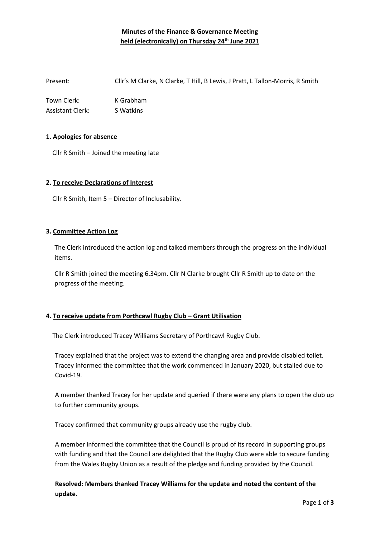# **Minutes of the Finance & Governance Meeting held (electronically) on Thursday 24th June 2021**

Present: Cllr's M Clarke, N Clarke, T Hill, B Lewis, J Pratt, L Tallon-Morris, R Smith

Town Clerk: K Grabham Assistant Clerk: S Watkins

### **1. Apologies for absence**

Cllr R Smith – Joined the meeting late

#### **2. To receive Declarations of Interest**

Cllr R Smith, Item 5 – Director of Inclusability.

#### **3. Committee Action Log**

The Clerk introduced the action log and talked members through the progress on the individual items.

Cllr R Smith joined the meeting 6.34pm. Cllr N Clarke brought Cllr R Smith up to date on the progress of the meeting.

### **4. To receive update from Porthcawl Rugby Club – Grant Utilisation**

The Clerk introduced Tracey Williams Secretary of Porthcawl Rugby Club.

Tracey explained that the project was to extend the changing area and provide disabled toilet. Tracey informed the committee that the work commenced in January 2020, but stalled due to Covid-19.

A member thanked Tracey for her update and queried if there were any plans to open the club up to further community groups.

Tracey confirmed that community groups already use the rugby club.

A member informed the committee that the Council is proud of its record in supporting groups with funding and that the Council are delighted that the Rugby Club were able to secure funding from the Wales Rugby Union as a result of the pledge and funding provided by the Council.

**Resolved: Members thanked Tracey Williams for the update and noted the content of the update.**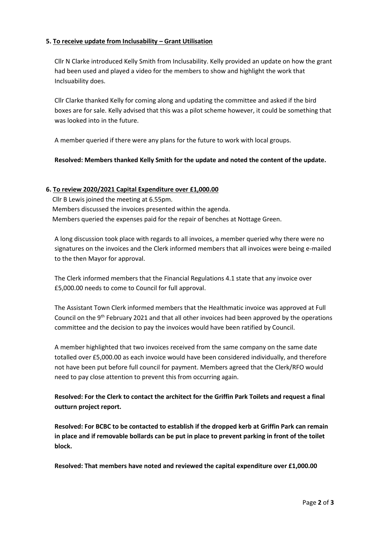## **5. To receive update from Inclusability – Grant Utilisation**

Cllr N Clarke introduced Kelly Smith from Inclusability. Kelly provided an update on how the grant had been used and played a video for the members to show and highlight the work that Inclsuability does.

Cllr Clarke thanked Kelly for coming along and updating the committee and asked if the bird boxes are for sale. Kelly advised that this was a pilot scheme however, it could be something that was looked into in the future.

A member queried if there were any plans for the future to work with local groups.

### **Resolved: Members thanked Kelly Smith for the update and noted the content of the update.**

### **6. To review 2020/2021 Capital Expenditure over £1,000.00**

 Cllr B Lewis joined the meeting at 6.55pm. Members discussed the invoices presented within the agenda. Members queried the expenses paid for the repair of benches at Nottage Green.

A long discussion took place with regards to all invoices, a member queried why there were no signatures on the invoices and the Clerk informed members that all invoices were being e-mailed to the then Mayor for approval.

The Clerk informed members that the Financial Regulations 4.1 state that any invoice over £5,000.00 needs to come to Council for full approval.

The Assistant Town Clerk informed members that the Healthmatic invoice was approved at Full Council on the 9th February 2021 and that all other invoices had been approved by the operations committee and the decision to pay the invoices would have been ratified by Council.

A member highlighted that two invoices received from the same company on the same date totalled over £5,000.00 as each invoice would have been considered individually, and therefore not have been put before full council for payment. Members agreed that the Clerk/RFO would need to pay close attention to prevent this from occurring again.

**Resolved: For the Clerk to contact the architect for the Griffin Park Toilets and request a final outturn project report.** 

**Resolved: For BCBC to be contacted to establish if the dropped kerb at Griffin Park can remain in place and if removable bollards can be put in place to prevent parking in front of the toilet block.** 

**Resolved: That members have noted and reviewed the capital expenditure over £1,000.00**